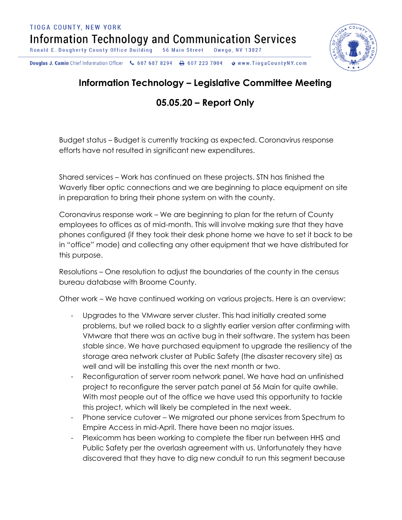Douglas J. Camin Chief Information Officer & 607 687 8294 **& www.TiogaCountyNY.com** → 607 223 7004



## **Information Technology – Legislative Committee Meeting**

## **05.05.20 – Report Only**

Budget status – Budget is currently tracking as expected. Coronavirus response efforts have not resulted in significant new expenditures.

Shared services – Work has continued on these projects. STN has finished the Waverly fiber optic connections and we are beginning to place equipment on site in preparation to bring their phone system on with the county.

Coronavirus response work – We are beginning to plan for the return of County employees to offices as of mid-month. This will involve making sure that they have phones configured (if they took their desk phone home we have to set it back to be in "office" mode) and collecting any other equipment that we have distributed for this purpose.

Resolutions – One resolution to adjust the boundaries of the county in the census bureau database with Broome County.

Other work – We have continued working on various projects. Here is an overview:

- Upgrades to the VMware server cluster. This had initially created some problems, but we rolled back to a slightly earlier version after confirming with VMware that there was an active bug in their software. The system has been stable since. We have purchased equipment to upgrade the resiliency of the storage area network cluster at Public Safety (the disaster recovery site) as well and will be installing this over the next month or two.
- Reconfiguration of server room network panel. We have had an unfinished project to reconfigure the server patch panel at 56 Main for quite awhile. With most people out of the office we have used this opportunity to tackle this project, which will likely be completed in the next week.
- Phone service cutover We migrated our phone services from Spectrum to Empire Access in mid-April. There have been no major issues.
- Plexicomm has been working to complete the fiber run between HHS and Public Safety per the overlash agreement with us. Unfortunately they have discovered that they have to dig new conduit to run this segment because